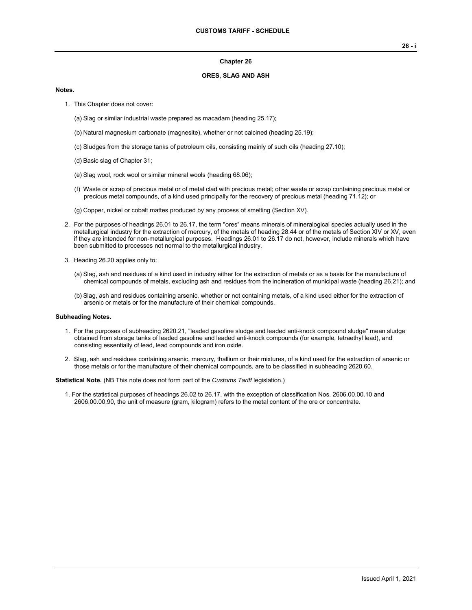### **Chapter 26**

## **ORES, SLAG AND ASH**

### **Notes.**

- 1. This Chapter does not cover:
	- (a) Slag or similar industrial waste prepared as macadam (heading 25.17);
	- (b) Natural magnesium carbonate (magnesite), whether or not calcined (heading 25.19);
	- (c) Sludges from the storage tanks of petroleum oils, consisting mainly of such oils (heading 27.10);
	- (d) Basic slag of Chapter 31;
	- (e) Slag wool, rock wool or similar mineral wools (heading 68.06);
	- (f) Waste or scrap of precious metal or of metal clad with precious metal; other waste or scrap containing precious metal or precious metal compounds, of a kind used principally for the recovery of precious metal (heading 71.12); or
	- (g) Copper, nickel or cobalt mattes produced by any process of smelting (Section XV).
- 2. For the purposes of headings 26.01 to 26.17, the term "ores" means minerals of mineralogical species actually used in the metallurgical industry for the extraction of mercury, of the metals of heading 28.44 or of the metals of Section XIV or XV, even if they are intended for non-metallurgical purposes. Headings 26.01 to 26.17 do not, however, include minerals which have been submitted to processes not normal to the metallurgical industry.
- 3. Heading 26.20 applies only to:
	- (a) Slag, ash and residues of a kind used in industry either for the extraction of metals or as a basis for the manufacture of chemical compounds of metals, excluding ash and residues from the incineration of municipal waste (heading 26.21); and
	- (b) Slag, ash and residues containing arsenic, whether or not containing metals, of a kind used either for the extraction of arsenic or metals or for the manufacture of their chemical compounds.

#### **Subheading Notes.**

- 1. For the purposes of subheading 2620.21, "leaded gasoline sludge and leaded anti-knock compound sludge" mean sludge obtained from storage tanks of leaded gasoline and leaded anti-knock compounds (for example, tetraethyl lead), and consisting essentially of lead, lead compounds and iron oxide.
- 2. Slag, ash and residues containing arsenic, mercury, thallium or their mixtures, of a kind used for the extraction of arsenic or those metals or for the manufacture of their chemical compounds, are to be classified in subheading 2620.60.

**Statistical Note.** (NB This note does not form part of the *Customs Tariff* legislation.)

1. For the statistical purposes of headings 26.02 to 26.17, with the exception of classification Nos. 2606.00.00.10 and 2606.00.00.90, the unit of measure (gram, kilogram) refers to the metal content of the ore or concentrate.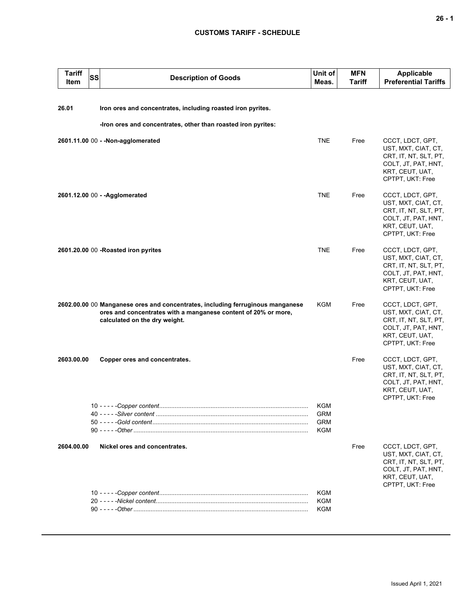# **CUSTOMS TARIFF - SCHEDULE**

| <b>Tariff</b><br><b>Item</b> | <b>SS</b> | <b>Description of Goods</b>                                                                                                                                                       | Unit of<br>Meas.                       | <b>MFN</b><br><b>Tariff</b> | <b>Applicable</b><br><b>Preferential Tariffs</b>                                                                               |
|------------------------------|-----------|-----------------------------------------------------------------------------------------------------------------------------------------------------------------------------------|----------------------------------------|-----------------------------|--------------------------------------------------------------------------------------------------------------------------------|
| 26.01                        |           | Iron ores and concentrates, including roasted iron pyrites.                                                                                                                       |                                        |                             |                                                                                                                                |
|                              |           | -Iron ores and concentrates, other than roasted iron pyrites:                                                                                                                     |                                        |                             |                                                                                                                                |
|                              |           | 2601.11.00 00 - - Non-agglomerated                                                                                                                                                | <b>TNE</b>                             | Free                        | CCCT, LDCT, GPT,<br>UST, MXT, CIAT, CT,<br>CRT, IT, NT, SLT, PT,<br>COLT, JT, PAT, HNT,<br>KRT, CEUT, UAT,<br>CPTPT, UKT: Free |
|                              |           | 2601.12.00 00 - - Agglomerated                                                                                                                                                    | <b>TNE</b>                             | Free                        | CCCT, LDCT, GPT,<br>UST, MXT, CIAT, CT,<br>CRT, IT, NT, SLT, PT,<br>COLT, JT, PAT, HNT,<br>KRT, CEUT, UAT,<br>CPTPT, UKT: Free |
|                              |           | 2601.20.00 00 - Roasted iron pyrites                                                                                                                                              | <b>TNE</b>                             | Free                        | CCCT, LDCT, GPT,<br>UST, MXT, CIAT, CT,<br>CRT, IT, NT, SLT, PT,<br>COLT, JT, PAT, HNT,<br>KRT, CEUT, UAT,<br>CPTPT, UKT: Free |
|                              |           | 2602.00.00 00 Manganese ores and concentrates, including ferruginous manganese<br>ores and concentrates with a manganese content of 20% or more,<br>calculated on the dry weight. | <b>KGM</b>                             | Free                        | CCCT, LDCT, GPT,<br>UST, MXT, CIAT, CT,<br>CRT, IT, NT, SLT, PT,<br>COLT, JT, PAT, HNT,<br>KRT, CEUT, UAT,<br>CPTPT, UKT: Free |
| 2603.00.00                   |           | Copper ores and concentrates.                                                                                                                                                     |                                        | Free                        | CCCT, LDCT, GPT,<br>UST, MXT, CIAT, CT,<br>CRT, IT, NT, SLT, PT,<br>COLT, JT, PAT, HNT,<br>KRT, CEUT, UAT,<br>CPTPT, UKT: Free |
|                              |           |                                                                                                                                                                                   | KGM<br><b>GRM</b><br><b>GRM</b><br>KGM |                             |                                                                                                                                |
| 2604.00.00                   |           | Nickel ores and concentrates.                                                                                                                                                     |                                        | Free                        | CCCT, LDCT, GPT,<br>UST, MXT, CIAT, CT,<br>CRT, IT, NT, SLT, PT,<br>COLT, JT, PAT, HNT,<br>KRT, CEUT, UAT,<br>CPTPT, UKT: Free |
|                              |           |                                                                                                                                                                                   | KGM<br>KGM<br>KGM                      |                             |                                                                                                                                |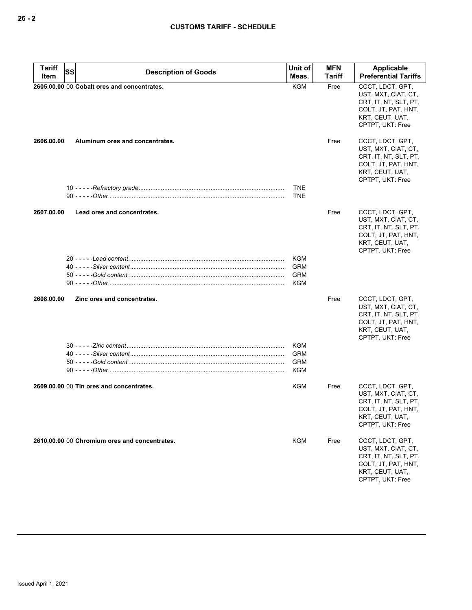| <b>Tariff</b> | SS |                                               | Unit of                  | MFN           | Applicable                                                                                                                     |
|---------------|----|-----------------------------------------------|--------------------------|---------------|--------------------------------------------------------------------------------------------------------------------------------|
| Item          |    | <b>Description of Goods</b>                   | Meas.                    | <b>Tariff</b> | <b>Preferential Tariffs</b>                                                                                                    |
|               |    | 2605.00.00 00 Cobalt ores and concentrates.   | <b>KGM</b>               | Free          | CCCT, LDCT, GPT,<br>UST, MXT, CIAT, CT,<br>CRT, IT, NT, SLT, PT,<br>COLT, JT, PAT, HNT,<br>KRT, CEUT, UAT,<br>CPTPT, UKT: Free |
| 2606.00.00    |    | Aluminum ores and concentrates.               |                          | Free          | CCCT, LDCT, GPT,<br>UST, MXT, CIAT, CT,<br>CRT, IT, NT, SLT, PT,<br>COLT, JT, PAT, HNT,<br>KRT, CEUT, UAT,<br>CPTPT, UKT: Free |
|               |    |                                               | <b>TNE</b><br><b>TNE</b> |               |                                                                                                                                |
| 2607.00.00    |    | Lead ores and concentrates.                   |                          | Free          | CCCT, LDCT, GPT,<br>UST, MXT, CIAT, CT,<br>CRT, IT, NT, SLT, PT,<br>COLT, JT, PAT, HNT,<br>KRT, CEUT, UAT,<br>CPTPT, UKT: Free |
|               |    |                                               | KGM                      |               |                                                                                                                                |
|               |    |                                               | <b>GRM</b>               |               |                                                                                                                                |
|               |    |                                               | <b>GRM</b>               |               |                                                                                                                                |
|               |    |                                               | <b>KGM</b>               |               |                                                                                                                                |
| 2608.00.00    |    | Zinc ores and concentrates.                   |                          | Free          | CCCT, LDCT, GPT,<br>UST, MXT, CIAT, CT,<br>CRT, IT, NT, SLT, PT,<br>COLT, JT, PAT, HNT,<br>KRT, CEUT, UAT,<br>CPTPT, UKT: Free |
|               |    |                                               | KGM                      |               |                                                                                                                                |
|               |    |                                               | <b>GRM</b>               |               |                                                                                                                                |
|               |    |                                               | <b>GRM</b>               |               |                                                                                                                                |
|               |    |                                               | <b>KGM</b>               |               |                                                                                                                                |
|               |    | 2609.00.00 00 Tin ores and concentrates.      | KGM                      | Free          | CCCT, LDCT, GPT,<br>UST, MXT, CIAT, CT,<br>CRT, IT, NT, SLT, PT,<br>COLI, JI, PAI, HNI,<br>KRT, CEUT, UAT,<br>CPTPT, UKT: Free |
|               |    | 2610.00.00 00 Chromium ores and concentrates. | KGM                      | Free          | CCCT, LDCT, GPT,<br>UST, MXT, CIAT, CT,<br>CRT, IT, NT, SLT, PT,<br>COLT, JT, PAT, HNT,<br>KRT, CEUT, UAT,<br>CPTPT, UKT: Free |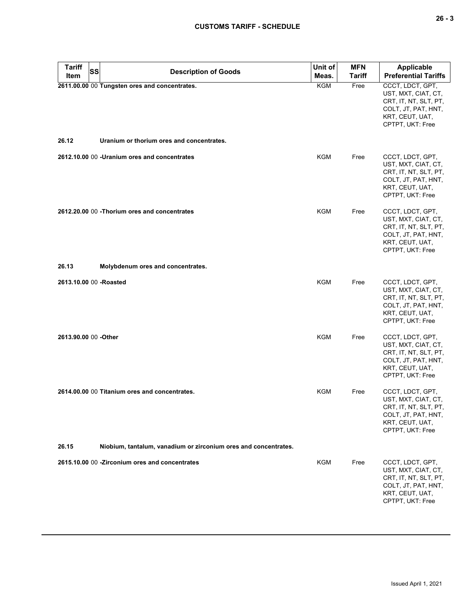| <b>Tariff</b><br><b>SS</b> | <b>Description of Goods</b>                                     | Unit of    | <b>MFN</b> | Applicable                                                                                                                     |
|----------------------------|-----------------------------------------------------------------|------------|------------|--------------------------------------------------------------------------------------------------------------------------------|
| Item                       |                                                                 | Meas.      | Tariff     | <b>Preferential Tariffs</b>                                                                                                    |
|                            | 2611.00.00 00 Tungsten ores and concentrates.                   | <b>KGM</b> | Free       | CCCT, LDCT, GPT,<br>UST, MXT, CIAT, CT,<br>CRT, IT, NT, SLT, PT,<br>COLT, JT, PAT, HNT,<br>KRT, CEUT, UAT,<br>CPTPT, UKT: Free |
| 26.12                      | Uranium or thorium ores and concentrates.                       |            |            |                                                                                                                                |
|                            | 2612.10.00 00 - Uranium ores and concentrates                   | <b>KGM</b> | Free       | CCCT, LDCT, GPT,<br>UST, MXT, CIAT, CT,<br>CRT, IT, NT, SLT, PT,<br>COLT, JT, PAT, HNT,<br>KRT, CEUT, UAT,<br>CPTPT, UKT: Free |
|                            | 2612.20.00 00 - Thorium ores and concentrates                   | <b>KGM</b> | Free       | CCCT, LDCT, GPT,<br>UST, MXT, CIAT, CT,<br>CRT, IT, NT, SLT, PT,<br>COLT, JT, PAT, HNT,<br>KRT, CEUT, UAT,<br>CPTPT, UKT: Free |
| 26.13                      | Molybdenum ores and concentrates.                               |            |            |                                                                                                                                |
| 2613.10.00 00 - Roasted    |                                                                 | <b>KGM</b> | Free       | CCCT, LDCT, GPT,<br>UST, MXT, CIAT, CT,<br>CRT, IT, NT, SLT, PT,<br>COLT, JT, PAT, HNT,<br>KRT, CEUT, UAT,<br>CPTPT, UKT: Free |
| 2613.90.00 00 -Other       |                                                                 | <b>KGM</b> | Free       | CCCT, LDCT, GPT,<br>UST, MXT, CIAT, CT,<br>CRT, IT, NT, SLT, PT,<br>COLT, JT, PAT, HNT,<br>KRT, CEUT, UAT,<br>CPTPT, UKT: Free |
|                            | 2614.00.00 00 Titanium ores and concentrates.                   | KGM        | Free       | CCCT, LDCT, GPT,<br>UST, MXT, CIAT, CT,<br>CRT, IT, NT, SLT, PT,<br>COLT, JT, PAT, HNT,<br>KRT, CEUT, UAT,<br>CPTPT, UKT: Free |
| 26.15                      | Niobium, tantalum, vanadium or zirconium ores and concentrates. |            |            |                                                                                                                                |
|                            | 2615.10.00 00 -Zirconium ores and concentrates                  | <b>KGM</b> | Free       | CCCT, LDCT, GPT,<br>UST, MXT, CIAT, CT,<br>CRT, IT, NT, SLT, PT,<br>COLT, JT, PAT, HNT,<br>KRT, CEUT, UAT,<br>CPTPT, UKT: Free |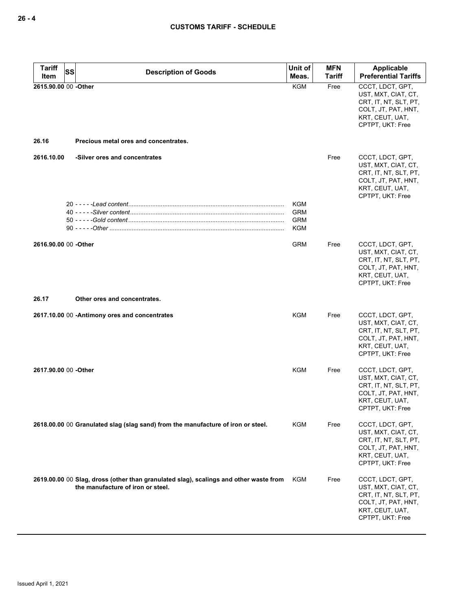| <b>Tariff</b><br>SS           | <b>Description of Goods</b>                                                                                                | Unit of                  | <b>MFN</b> | Applicable                                                                                                                     |
|-------------------------------|----------------------------------------------------------------------------------------------------------------------------|--------------------------|------------|--------------------------------------------------------------------------------------------------------------------------------|
| Item                          |                                                                                                                            | Meas.                    | Tariff     | <b>Preferential Tariffs</b>                                                                                                    |
| 2615.90.00 00 -Other<br>26.16 | Precious metal ores and concentrates.                                                                                      | <b>KGM</b>               | Free       | CCCT, LDCT, GPT,<br>UST, MXT, CIAT, CT,<br>CRT, IT, NT, SLT, PT,<br>COLT, JT, PAT, HNT,<br>KRT, CEUT, UAT,<br>CPTPT, UKT: Free |
|                               |                                                                                                                            |                          |            |                                                                                                                                |
| 2616.10.00                    | -Silver ores and concentrates                                                                                              |                          | Free       | CCCT, LDCT, GPT,<br>UST, MXT, CIAT, CT,<br>CRT, IT, NT, SLT, PT,<br>COLT, JT, PAT, HNT,<br>KRT, CEUT, UAT,<br>CPTPT, UKT: Free |
|                               |                                                                                                                            | KGM                      |            |                                                                                                                                |
|                               |                                                                                                                            | <b>GRM</b><br><b>GRM</b> |            |                                                                                                                                |
|                               |                                                                                                                            | KGM                      |            |                                                                                                                                |
| 2616.90.00 00 -Other          |                                                                                                                            | <b>GRM</b>               | Free       | CCCT, LDCT, GPT,<br>UST, MXT, CIAT, CT,<br>CRT, IT, NT, SLT, PT,<br>COLT, JT, PAT, HNT,<br>KRT, CEUT, UAT,<br>CPTPT, UKT: Free |
| 26.17                         | Other ores and concentrates.                                                                                               |                          |            |                                                                                                                                |
|                               | 2617.10.00 00 -Antimony ores and concentrates                                                                              | KGM                      | Free       | CCCT, LDCT, GPT,<br>UST, MXT, CIAT, CT,<br>CRT, IT, NT, SLT, PT,<br>COLT, JT, PAT, HNT,<br>KRT, CEUT, UAT,<br>CPTPT, UKT: Free |
| 2617.90.00 00 -Other          |                                                                                                                            | KGM                      | Free       | CCCT, LDCT, GPT,<br>UST, MXT, CIAT, CT,<br>CRT, IT, NT, SLT, PT,<br>COLT, JT, PAT, HNT,<br>KRT, CEUT, UAT,<br>CPTPT, UKT: Free |
|                               | 2618.00.00 00 Granulated slag (slag sand) from the manufacture of iron or steel.                                           | KGM                      | Free       | CCCT, LDCT, GPT,<br>UST, MXT, CIAT, CT,<br>CRT, IT, NT, SLT, PT,<br>COLT, JT, PAT, HNT,<br>KRT, CEUT, UAT,<br>CPTPT, UKT: Free |
|                               | 2619.00.00 00 Slag, dross (other than granulated slag), scalings and other waste from<br>the manufacture of iron or steel. | KGM                      | Free       | CCCT, LDCT, GPT,<br>UST, MXT, CIAT, CT,<br>CRT, IT, NT, SLT, PT,<br>COLT, JT, PAT, HNT,<br>KRT, CEUT, UAT,<br>CPTPT, UKT: Free |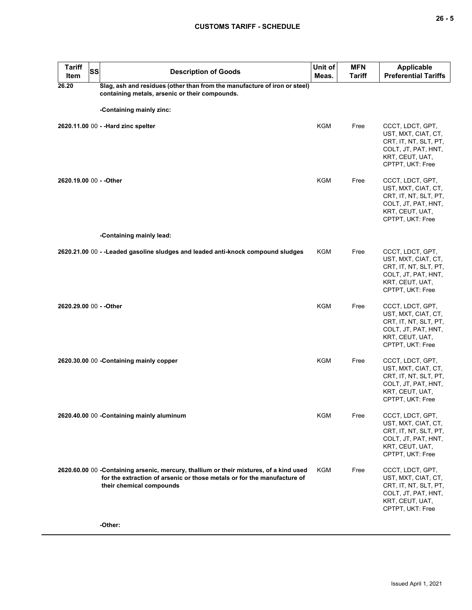| <b>Tariff</b><br>Item   | <b>SS</b> | <b>Description of Goods</b>                                                                                                                                                                    | Unit of<br>Meas. | <b>MFN</b><br><b>Tariff</b> | <b>Applicable</b><br><b>Preferential Tariffs</b>                                                                               |
|-------------------------|-----------|------------------------------------------------------------------------------------------------------------------------------------------------------------------------------------------------|------------------|-----------------------------|--------------------------------------------------------------------------------------------------------------------------------|
| 26.20                   |           | Slag, ash and residues (other than from the manufacture of iron or steel)<br>containing metals, arsenic or their compounds.                                                                    |                  |                             |                                                                                                                                |
|                         |           | -Containing mainly zinc:                                                                                                                                                                       |                  |                             |                                                                                                                                |
|                         |           | 2620.11.00 00 - -Hard zinc spelter                                                                                                                                                             | KGM              | Free                        | CCCT, LDCT, GPT,<br>UST, MXT, CIAT, CT,<br>CRT, IT, NT, SLT, PT,<br>COLT, JT, PAT, HNT,<br>KRT, CEUT, UAT,<br>CPTPT, UKT: Free |
| 2620.19.00 00 - - Other |           |                                                                                                                                                                                                | <b>KGM</b>       | Free                        | CCCT, LDCT, GPT,<br>UST, MXT, CIAT, CT,<br>CRT, IT, NT, SLT, PT,<br>COLT, JT, PAT, HNT,<br>KRT, CEUT, UAT,<br>CPTPT, UKT: Free |
|                         |           | -Containing mainly lead:                                                                                                                                                                       |                  |                             |                                                                                                                                |
|                         |           | 2620.21.00 00 - -Leaded gasoline sludges and leaded anti-knock compound sludges                                                                                                                | KGM              | Free                        | CCCT, LDCT, GPT,<br>UST, MXT, CIAT, CT,<br>CRT, IT, NT, SLT, PT,<br>COLT, JT, PAT, HNT,<br>KRT, CEUT, UAT,<br>CPTPT, UKT: Free |
| 2620.29.00 00 - - Other |           |                                                                                                                                                                                                | KGM              | Free                        | CCCT, LDCT, GPT,<br>UST, MXT, CIAT, CT,<br>CRT, IT, NT, SLT, PT,<br>COLT, JT, PAT, HNT,<br>KRT, CEUT, UAT,<br>CPTPT, UKT: Free |
|                         |           | 2620.30.00 00 - Containing mainly copper                                                                                                                                                       | KGM              | Free                        | CCCT, LDCT, GPT,<br>UST, MXT, CIAT, CT,<br>CRT, IT, NT, SLT, PT,<br>COLT, JT, PAT, HNT,<br>KRT, CEUT, UAT,<br>CPTPT, UKT: Free |
|                         |           | 2620.40.00 00 - Containing mainly aluminum                                                                                                                                                     | KGM              | Free                        | CCCT, LDCT, GPT,<br>UST, MXT, CIAT, CT,<br>CRT, IT, NT, SLT, PT,<br>COLT, JT, PAT, HNT,<br>KRT, CEUT, UAT,<br>CPTPT, UKT: Free |
|                         |           | 2620.60.00 00 - Containing arsenic, mercury, thallium or their mixtures, of a kind used<br>for the extraction of arsenic or those metals or for the manufacture of<br>their chemical compounds | <b>KGM</b>       | Free                        | CCCT, LDCT, GPT,<br>UST, MXT, CIAT, CT,<br>CRT, IT, NT, SLT, PT,<br>COLT, JT, PAT, HNT,<br>KRT, CEUT, UAT,<br>CPTPT, UKT: Free |
|                         |           | -Other:                                                                                                                                                                                        |                  |                             |                                                                                                                                |